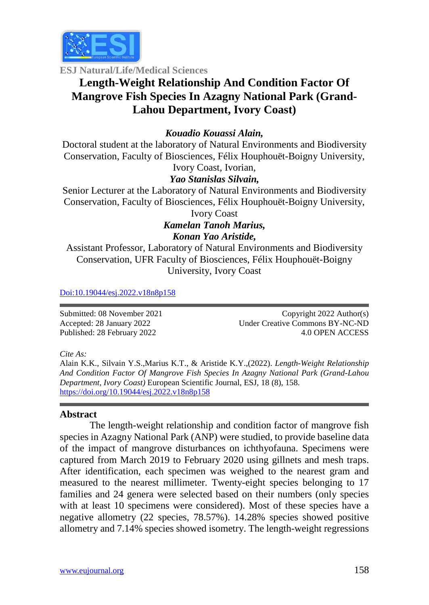

**ESJ Natural/Life/Medical Sciences**

# **Length-Weight Relationship And Condition Factor Of Mangrove Fish Species In Azagny National Park (Grand-Lahou Department, Ivory Coast)**

## *Kouadio Kouassi Alain,*

Doctoral student at the laboratory of Natural Environments and Biodiversity Conservation, Faculty of Biosciences, Félix Houphouët-Boigny University,

Ivory Coast, Ivorian,

### *Yao Stanislas Silvain,*

Senior Lecturer at the Laboratory of Natural Environments and Biodiversity Conservation, Faculty of Biosciences, Félix Houphouët-Boigny University, Ivory Coast

*Kamelan Tanoh Marius, Konan Yao Aristide,*

Assistant Professor, Laboratory of Natural Environments and Biodiversity Conservation, UFR Faculty of Biosciences, Félix Houphouët-Boigny University, Ivory Coast

[Doi:10.19044/esj.2022.v18n8p15](https://doi.org/10.19044/esj.2021.v17n29p1)8

Submitted: 08 November 2021 Accepted: 28 January 2022 Published: 28 February 2022

Copyright 2022 Author(s) Under Creative Commons BY-NC-ND 4.0 OPEN ACCESS

*Cite As:*

Alain K.K., Silvain Y.S.,Marius K.T., & Aristide K.Y.,(2022). *Length-Weight Relationship And Condition Factor Of Mangrove Fish Species In Azagny National Park (Grand-Lahou Department, Ivory Coast)* European Scientific Journal, ESJ, 18 (8), 158. [https://doi.org/10.19044/esj.2022.v18n8p15](https://doi.org/10.19044/esj.2022.v18n03p1)8

#### **Abstract**

The length-weight relationship and condition factor of mangrove fish species in Azagny National Park (ANP) were studied, to provide baseline data of the impact of mangrove disturbances on ichthyofauna. Specimens were captured from March 2019 to February 2020 using gillnets and mesh traps. After identification, each specimen was weighed to the nearest gram and measured to the nearest millimeter. Twenty-eight species belonging to 17 families and 24 genera were selected based on their numbers (only species with at least 10 specimens were considered). Most of these species have a negative allometry (22 species, 78.57%). 14.28% species showed positive allometry and 7.14% species showed isometry. The length-weight regressions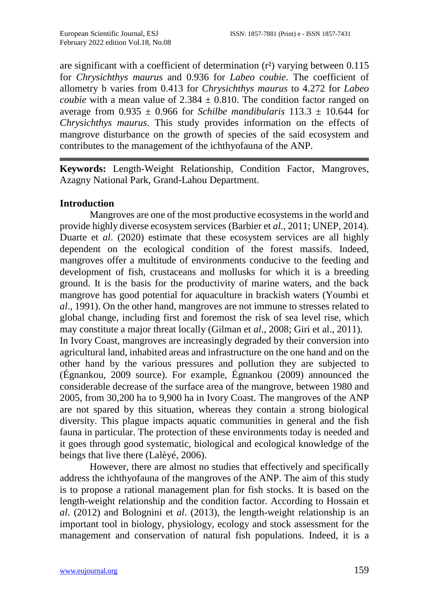are significant with a coefficient of determination  $(r^2)$  varying between 0.115 for *Chrysichthys maurus* and 0.936 for *Labeo coubie*. The coefficient of allometry b varies from 0.413 for *Chrysichthys maurus* to 4.272 for *Labeo coubie* with a mean value of  $2.384 \pm 0.810$ . The condition factor ranged on average from  $0.935 \pm 0.966$  for *Schilbe mandibularis*  $113.3 \pm 10.644$  for *Chrysichthys maurus*. This study provides information on the effects of mangrove disturbance on the growth of species of the said ecosystem and contributes to the management of the ichthyofauna of the ANP.

**Keywords:** Length-Weight Relationship, Condition Factor, Mangroves, Azagny National Park, Grand-Lahou Department.

#### **Introduction**

Mangroves are one of the most productive ecosystems in the world and provide highly diverse ecosystem services (Barbier et *al.*, 2011; UNEP, 2014). Duarte et *al*. (2020) estimate that these ecosystem services are all highly dependent on the ecological condition of the forest massifs. Indeed, mangroves offer a multitude of environments conducive to the feeding and development of fish, crustaceans and mollusks for which it is a breeding ground. It is the basis for the productivity of marine waters, and the back mangrove has good potential for aquaculture in brackish waters (Youmbi et *al*., 1991). On the other hand, mangroves are not immune to stresses related to global change, including first and foremost the risk of sea level rise, which may constitute a major threat locally (Gilman et *al*., 2008; Giri et al., 2011). In Ivory Coast, mangroves are increasingly degraded by their conversion into agricultural land, inhabited areas and infrastructure on the one hand and on the other hand by the various pressures and pollution they are subjected to (Égnankou, 2009 source). For example, Égnankou (2009) announced the considerable decrease of the surface area of the mangrove, between 1980 and 2005, from 30,200 ha to 9,900 ha in Ivory Coast. The mangroves of the ANP are not spared by this situation, whereas they contain a strong biological diversity. This plague impacts aquatic communities in general and the fish fauna in particular. The protection of these environments today is needed and it goes through good systematic, biological and ecological knowledge of the beings that live there (Lalèyé, 2006).

However, there are almost no studies that effectively and specifically address the ichthyofauna of the mangroves of the ANP. The aim of this study is to propose a rational management plan for fish stocks. It is based on the length-weight relationship and the condition factor. According to Hossain et *al*. (2012) and Bolognini et *al*. (2013), the length-weight relationship is an important tool in biology, physiology, ecology and stock assessment for the management and conservation of natural fish populations. Indeed, it is a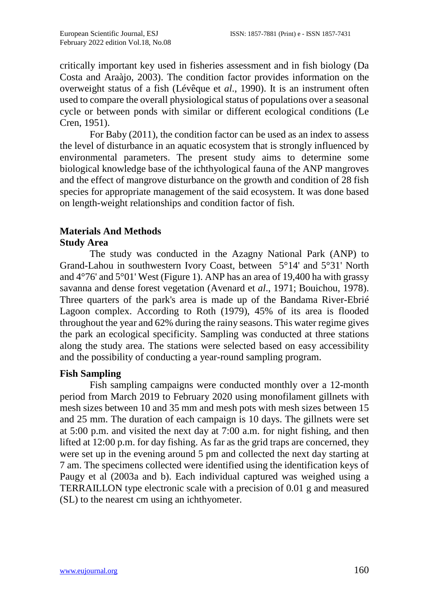critically important key used in fisheries assessment and in fish biology (Da Costa and Araàjo, 2003). The condition factor provides information on the overweight status of a fish (Lévêque et *al*., 1990). It is an instrument often used to compare the overall physiological status of populations over a seasonal cycle or between ponds with similar or different ecological conditions (Le Cren, 1951).

For Baby (2011), the condition factor can be used as an index to assess the level of disturbance in an aquatic ecosystem that is strongly influenced by environmental parameters. The present study aims to determine some biological knowledge base of the ichthyological fauna of the ANP mangroves and the effect of mangrove disturbance on the growth and condition of 28 fish species for appropriate management of the said ecosystem. It was done based on length-weight relationships and condition factor of fish.

#### **Materials And Methods Study Area**

The study was conducted in the Azagny National Park (ANP) to Grand-Lahou in southwestern Ivory Coast, between 5°14' and 5°31' North and 4°76' and 5°01' West (Figure 1). ANP has an area of 19,400 ha with grassy savanna and dense forest vegetation (Avenard et *al*., 1971; Bouichou, 1978). Three quarters of the park's area is made up of the Bandama River-Ebrié Lagoon complex. According to Roth (1979), 45% of its area is flooded throughout the year and 62% during the rainy seasons. This water regime gives the park an ecological specificity. Sampling was conducted at three stations along the study area. The stations were selected based on easy accessibility and the possibility of conducting a year-round sampling program.

## **Fish Sampling**

Fish sampling campaigns were conducted monthly over a 12-month period from March 2019 to February 2020 using monofilament gillnets with mesh sizes between 10 and 35 mm and mesh pots with mesh sizes between 15 and 25 mm. The duration of each campaign is 10 days. The gillnets were set at 5:00 p.m. and visited the next day at 7:00 a.m. for night fishing, and then lifted at 12:00 p.m. for day fishing. As far as the grid traps are concerned, they were set up in the evening around 5 pm and collected the next day starting at 7 am. The specimens collected were identified using the identification keys of Paugy et al (2003a and b). Each individual captured was weighed using a TERRAILLON type electronic scale with a precision of 0.01 g and measured (SL) to the nearest cm using an ichthyometer.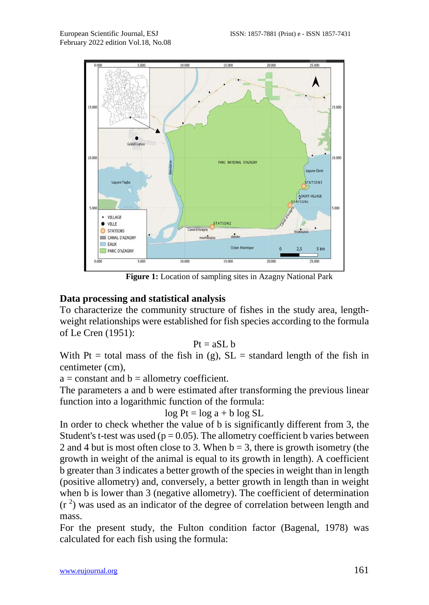

**Figure 1:** Location of sampling sites in Azagny National Park

### **Data processing and statistical analysis**

To characterize the community structure of fishes in the study area, lengthweight relationships were established for fish species according to the formula of Le Cren (1951):

$$
Pt=a S L\; b
$$

With Pt = total mass of the fish in (g),  $SL =$  standard length of the fish in centimeter (cm),

 $a = constant$  and  $b = allometry$  coefficient.

The parameters a and b were estimated after transforming the previous linear function into a logarithmic function of the formula:

$$
\log Pt = \log a + b \log SL
$$

In order to check whether the value of b is significantly different from 3, the Student's t-test was used ( $p = 0.05$ ). The allometry coefficient b varies between 2 and 4 but is most often close to 3. When  $b = 3$ , there is growth isometry (the growth in weight of the animal is equal to its growth in length). A coefficient b greater than 3 indicates a better growth of the species in weight than in length (positive allometry) and, conversely, a better growth in length than in weight when b is lower than 3 (negative allometry). The coefficient of determination  $(r<sup>2</sup>)$  was used as an indicator of the degree of correlation between length and mass.

For the present study, the Fulton condition factor (Bagenal, 1978) was calculated for each fish using the formula: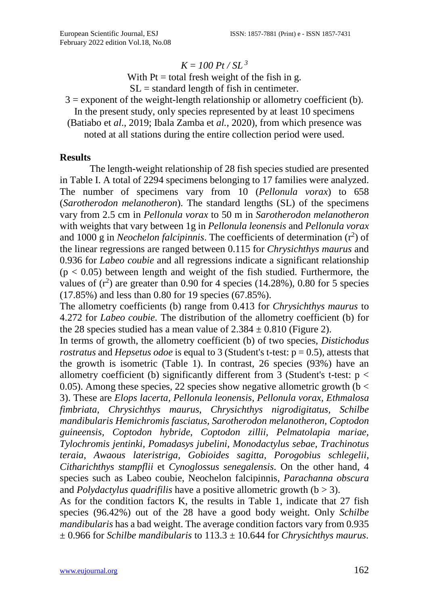#### $K = 100 \, \text{Pt} / \text{SL}^3$

With  $Pt = total$  fresh weight of the fish in g.  $SL =$  standard length of fish in centimeter.

 $3 =$  exponent of the weight-length relationship or allometry coefficient (b). In the present study, only species represented by at least 10 specimens

(Batiabo et *al*., 2019; Ibala Zamba et *al.*, 2020), from which presence was noted at all stations during the entire collection period were used.

#### **Results**

The length-weight relationship of 28 fish species studied are presented in Table I. A total of 2294 specimens belonging to 17 families were analyzed. The number of specimens vary from 10 (*Pellonula vorax*) to 658 (*Sarotherodon melanotheron*). The standard lengths (SL) of the specimens vary from 2.5 cm in *Pellonula vorax* to 50 m in *Sarotherodon melanotheron* with weights that vary between 1g in *Pellonula leonensis* and *Pellonula vorax* and 1000 g in *Neochelon falcipinnis*. The coefficients of determination  $(r^2)$  of the linear regressions are ranged between 0.115 for *Chrysichthys maurus* and 0.936 for *Labeo coubie* and all regressions indicate a significant relationship  $(p < 0.05)$  between length and weight of the fish studied. Furthermore, the values of  $(r^2)$  are greater than 0.90 for 4 species (14.28%), 0.80 for 5 species (17.85%) and less than 0.80 for 19 species (67.85%).

The allometry coefficients (b) range from 0.413 for *Chrysichthys maurus* to 4.272 for *Labeo coubie*. The distribution of the allometry coefficient (b) for the 28 species studied has a mean value of  $2.384 \pm 0.810$  (Figure 2).

In terms of growth, the allometry coefficient (b) of two species, *Distichodus rostratus* and *Hepsetus odoe* is equal to 3 (Student's t-test:  $p = 0.5$ ), attests that the growth is isometric (Table 1). In contrast, 26 species (93%) have an allometry coefficient (b) significantly different from 3 (Student's t-test:  $p <$ 0.05). Among these species, 22 species show negative allometric growth  $(b <$ 3). These are *Elops lacerta, Pellonula leonensis, Pellonula vorax, Ethmalosa fimbriata, Chrysichthys maurus, Chrysichthys nigrodigitatus, Schilbe mandibularis Hemichromis fasciatus, Sarotherodon melanotheron, Coptodon guineensis, Coptodon hybride, Coptodon zillii, Pelmatolapia mariae, Tylochromis jentinki, Pomadasys jubelini, Monodactylus sebae, Trachinotus teraia, Awaous lateristriga, Gobioides sagitta, Porogobius schlegelii, Citharichthys stampflii* et *Cynoglossus senegalensis*. On the other hand, 4 species such as Labeo coubie, Neochelon falcipinnis, *Parachanna obscura*  and *Polydactylus quadrifilis* have a positive allometric growth  $(b > 3)$ .

As for the condition factors K, the results in Table 1, indicate that 27 fish species (96.42%) out of the 28 have a good body weight. Only *Schilbe mandibularis* has a bad weight. The average condition factors vary from 0.935 ± 0.966 for *Schilbe mandibularis* to 113.3 ± 10.644 for *Chrysichthys maurus*.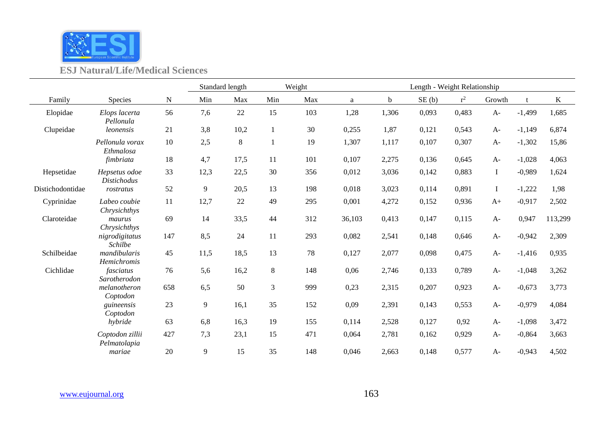

## **ESJ Natural/Life/Medical Sciences**

|                  |                                     |        |      | Standard length | Weight |        | Length - Weight Relationship |       |       |       |          |          |         |  |
|------------------|-------------------------------------|--------|------|-----------------|--------|--------|------------------------------|-------|-------|-------|----------|----------|---------|--|
| Family           | Species                             | N      | Min  | Max             | Min    | Max    | $\rm{a}$                     | b     | SE(b) | $r^2$ | Growth   | t        | K       |  |
| Elopidae         | Elops lacerta<br>Pellonula          | 56     | 7,6  | 22              | 15     | 103    | 1,28                         | 1,306 | 0,093 | 0,483 | $A-$     | $-1,499$ | 1,685   |  |
| Clupeidae        | leonensis                           | 21     | 3,8  | 10,2            | 1      | 30     | 0,255                        | 1,87  | 0,121 | 0,543 | $A-$     | $-1,149$ | 6,874   |  |
|                  | Pellonula vorax<br>Ethmalosa        | 10     | 2,5  | $\,8\,$         |        | 19     | 1,307                        | 1,117 | 0,107 | 0,307 | $A-$     | $-1,302$ | 15,86   |  |
|                  | fimbriata                           | $18\,$ | 4,7  | 17,5            | 11     | 101    | 0,107                        | 2,275 | 0,136 | 0,645 | $A-$     | $-1,028$ | 4,063   |  |
| Hepsetidae       | Hepsetus odoe<br><b>Distichodus</b> | 33     | 12,3 | 22,5            | 30     | 356    | 0,012                        | 3,036 | 0,142 | 0,883 | $\bf{I}$ | $-0,989$ | 1,624   |  |
| Distichodontidae | rostratus                           | 52     | 9    | 20,5            | 13     | 198    | 0,018                        | 3,023 | 0,114 | 0,891 | $\bf{I}$ | $-1,222$ | 1,98    |  |
| Cyprinidae       | Labeo coubie<br>Chrysichthys        | 11     | 12,7 | 22              | 49     | 295    | 0,001                        | 4,272 | 0,152 | 0,936 | $A+$     | $-0,917$ | 2,502   |  |
| Claroteidae      | maurus<br>Chrysichthys              | 69     | 14   | 33,5            | 44     | 312    | 36,103                       | 0,413 | 0,147 | 0,115 | $A-$     | 0,947    | 113,299 |  |
|                  | nigrodigitatus<br><b>Schilbe</b>    | 147    | 8,5  | 24              | 11     | 293    | 0,082                        | 2,541 | 0,148 | 0,646 | $A-$     | $-0,942$ | 2,309   |  |
| Schilbeidae      | mandibularis<br>Hemichromis         | 45     | 11,5 | 18,5            | 13     | $78\,$ | 0,127                        | 2,077 | 0,098 | 0,475 | $A-$     | $-1,416$ | 0,935   |  |
| Cichlidae        | fasciatus<br>Sarotherodon           | 76     | 5,6  | 16,2            | $8\,$  | 148    | 0,06                         | 2,746 | 0,133 | 0,789 | $A-$     | $-1,048$ | 3,262   |  |
|                  | melanotheron<br>Coptodon            | 658    | 6,5  | 50              | 3      | 999    | 0,23                         | 2,315 | 0,207 | 0,923 | $A-$     | $-0,673$ | 3,773   |  |
|                  | guineensis<br>Coptodon              | 23     | 9    | 16,1            | 35     | 152    | 0,09                         | 2,391 | 0,143 | 0,553 | $A-$     | $-0,979$ | 4,084   |  |
|                  | hybride                             | 63     | 6,8  | 16,3            | 19     | 155    | 0,114                        | 2,528 | 0,127 | 0,92  | $A-$     | $-1,098$ | 3,472   |  |
|                  | Coptodon zillii<br>Pelmatolapia     | 427    | 7,3  | 23,1            | 15     | 471    | 0,064                        | 2,781 | 0,162 | 0,929 | $A-$     | $-0,864$ | 3,663   |  |
|                  | mariae                              | 20     | 9    | 15              | 35     | 148    | 0,046                        | 2,663 | 0,148 | 0,577 | $A-$     | $-0,943$ | 4,502   |  |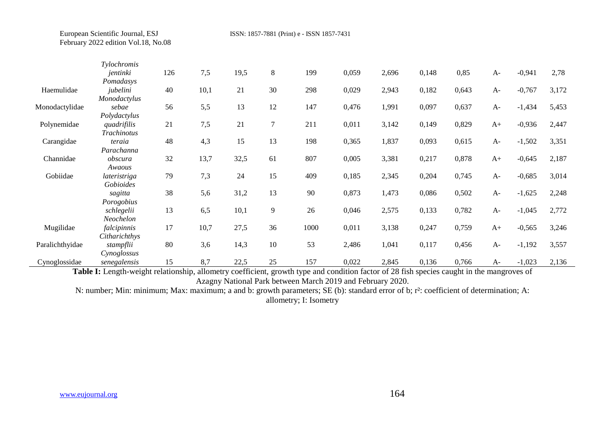European Scientific Journal, ESJ ISSN: 1857-7881 (Print) e - ISSN 1857-7431 February 2022 edition Vol.18, No.08

| Tylochromis |                                                                                                                                                                                                                                                                               |                                                          |                                                                       |                                                                    |                                                                     |                                                                  |                                                                                        |                                                                                        |                                                                                        |                                                                                        |                                                              |                                                                                                                      |
|-------------|-------------------------------------------------------------------------------------------------------------------------------------------------------------------------------------------------------------------------------------------------------------------------------|----------------------------------------------------------|-----------------------------------------------------------------------|--------------------------------------------------------------------|---------------------------------------------------------------------|------------------------------------------------------------------|----------------------------------------------------------------------------------------|----------------------------------------------------------------------------------------|----------------------------------------------------------------------------------------|----------------------------------------------------------------------------------------|--------------------------------------------------------------|----------------------------------------------------------------------------------------------------------------------|
| jentinki    | 126                                                                                                                                                                                                                                                                           | 7,5                                                      | 19,5                                                                  | 8                                                                  | 199                                                                 | 0,059                                                            | 2,696                                                                                  | 0,148                                                                                  | 0,85                                                                                   | $A-$                                                                                   | $-0,941$                                                     | 2,78                                                                                                                 |
| Pomadasys   |                                                                                                                                                                                                                                                                               |                                                          |                                                                       |                                                                    |                                                                     |                                                                  |                                                                                        |                                                                                        |                                                                                        |                                                                                        |                                                              |                                                                                                                      |
| jubelini    |                                                                                                                                                                                                                                                                               |                                                          |                                                                       |                                                                    |                                                                     |                                                                  |                                                                                        |                                                                                        |                                                                                        | $A-$                                                                                   |                                                              | 3,172                                                                                                                |
|             |                                                                                                                                                                                                                                                                               |                                                          |                                                                       |                                                                    |                                                                     |                                                                  |                                                                                        |                                                                                        |                                                                                        |                                                                                        |                                                              |                                                                                                                      |
|             |                                                                                                                                                                                                                                                                               |                                                          |                                                                       |                                                                    |                                                                     |                                                                  |                                                                                        |                                                                                        |                                                                                        |                                                                                        |                                                              | 5,453                                                                                                                |
|             |                                                                                                                                                                                                                                                                               |                                                          |                                                                       |                                                                    |                                                                     |                                                                  |                                                                                        |                                                                                        |                                                                                        |                                                                                        |                                                              |                                                                                                                      |
|             |                                                                                                                                                                                                                                                                               |                                                          |                                                                       |                                                                    |                                                                     |                                                                  |                                                                                        |                                                                                        |                                                                                        |                                                                                        |                                                              | 2,447                                                                                                                |
|             |                                                                                                                                                                                                                                                                               |                                                          |                                                                       |                                                                    |                                                                     |                                                                  |                                                                                        |                                                                                        |                                                                                        |                                                                                        |                                                              |                                                                                                                      |
|             |                                                                                                                                                                                                                                                                               |                                                          |                                                                       |                                                                    |                                                                     |                                                                  |                                                                                        |                                                                                        |                                                                                        |                                                                                        |                                                              | 3,351                                                                                                                |
|             |                                                                                                                                                                                                                                                                               |                                                          |                                                                       |                                                                    |                                                                     |                                                                  |                                                                                        |                                                                                        |                                                                                        |                                                                                        |                                                              |                                                                                                                      |
|             |                                                                                                                                                                                                                                                                               |                                                          |                                                                       |                                                                    |                                                                     |                                                                  |                                                                                        |                                                                                        |                                                                                        |                                                                                        |                                                              | 2,187                                                                                                                |
|             |                                                                                                                                                                                                                                                                               |                                                          |                                                                       |                                                                    |                                                                     |                                                                  |                                                                                        |                                                                                        |                                                                                        |                                                                                        |                                                              |                                                                                                                      |
|             |                                                                                                                                                                                                                                                                               |                                                          |                                                                       |                                                                    |                                                                     |                                                                  |                                                                                        |                                                                                        |                                                                                        |                                                                                        |                                                              | 3,014                                                                                                                |
|             |                                                                                                                                                                                                                                                                               |                                                          |                                                                       |                                                                    |                                                                     |                                                                  |                                                                                        |                                                                                        |                                                                                        |                                                                                        |                                                              | 2,248                                                                                                                |
|             |                                                                                                                                                                                                                                                                               |                                                          |                                                                       |                                                                    |                                                                     |                                                                  |                                                                                        |                                                                                        |                                                                                        |                                                                                        |                                                              |                                                                                                                      |
|             |                                                                                                                                                                                                                                                                               |                                                          |                                                                       |                                                                    |                                                                     |                                                                  |                                                                                        |                                                                                        |                                                                                        |                                                                                        |                                                              | 2,772                                                                                                                |
|             |                                                                                                                                                                                                                                                                               |                                                          |                                                                       |                                                                    |                                                                     |                                                                  |                                                                                        |                                                                                        |                                                                                        |                                                                                        |                                                              |                                                                                                                      |
|             |                                                                                                                                                                                                                                                                               |                                                          |                                                                       |                                                                    |                                                                     |                                                                  |                                                                                        |                                                                                        |                                                                                        |                                                                                        |                                                              | 3,246                                                                                                                |
|             |                                                                                                                                                                                                                                                                               |                                                          |                                                                       |                                                                    |                                                                     |                                                                  |                                                                                        |                                                                                        |                                                                                        |                                                                                        |                                                              |                                                                                                                      |
|             |                                                                                                                                                                                                                                                                               |                                                          |                                                                       |                                                                    |                                                                     |                                                                  |                                                                                        |                                                                                        |                                                                                        | $A-$                                                                                   |                                                              | 3,557                                                                                                                |
|             |                                                                                                                                                                                                                                                                               |                                                          |                                                                       |                                                                    |                                                                     |                                                                  |                                                                                        |                                                                                        |                                                                                        |                                                                                        |                                                              |                                                                                                                      |
|             | 15                                                                                                                                                                                                                                                                            | 8,7                                                      | 22,5                                                                  | 25                                                                 | 157                                                                 | 0,022                                                            | 2,845                                                                                  | 0,136                                                                                  | 0,766                                                                                  | $A-$                                                                                   | $-1,023$                                                     | 2,136                                                                                                                |
|             | Monodactylus<br>sebae<br>Polydactylus<br>quadrifilis<br>Trachinotus<br>teraia<br>Parachanna<br>obscura<br>Awaous<br>lateristriga<br>Gobioides<br>sagitta<br>Porogobius<br>schlegelii<br>Neochelon<br>falcipinnis<br>Citharichthys<br>stampflii<br>Cynoglossus<br>senegalensis | 40<br>56<br>21<br>48<br>32<br>79<br>38<br>13<br>17<br>80 | 10,1<br>5,5<br>7,5<br>4,3<br>13,7<br>7,3<br>5,6<br>6,5<br>10,7<br>3,6 | 21<br>13<br>21<br>15<br>32,5<br>24<br>31,2<br>10,1<br>27,5<br>14,3 | 30<br>12<br>$\overline{7}$<br>13<br>61<br>15<br>13<br>9<br>36<br>10 | 298<br>147<br>211<br>198<br>807<br>409<br>90<br>26<br>1000<br>53 | 0,029<br>0,476<br>0,011<br>0,365<br>0,005<br>0,185<br>0,873<br>0,046<br>0,011<br>2,486 | 2,943<br>1,991<br>3,142<br>1,837<br>3,381<br>2,345<br>1,473<br>2,575<br>3,138<br>1,041 | 0,182<br>0,097<br>0,149<br>0,093<br>0,217<br>0,204<br>0,086<br>0,133<br>0,247<br>0,117 | 0,643<br>0,637<br>0,829<br>0,615<br>0,878<br>0,745<br>0,502<br>0,782<br>0,759<br>0,456 | $A-$<br>$A+$<br>$A-$<br>$A+$<br>$A-$<br>$A-$<br>$A-$<br>$A+$ | $-0,767$<br>$-1,434$<br>$-0,936$<br>$-1,502$<br>$-0,645$<br>$-0,685$<br>$-1,625$<br>$-1,045$<br>$-0,565$<br>$-1,192$ |

Table I: Length-weight relationship, allometry coefficient, growth type and condition factor of 28 fish species caught in the mangroves of Azagny National Park between March 2019 and February 2020.

N: number; Min: minimum; Max: maximum; a and b: growth parameters; SE (b): standard error of b; r²: coefficient of determination; A: allometry; I: Isometry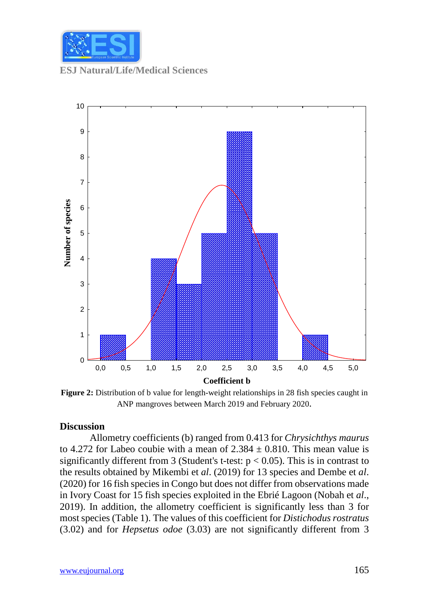

**ESJ Natural/Life/Medical Sciences**



**Figure 2:** Distribution of b value for length-weight relationships in 28 fish species caught in ANP mangroves between March 2019 and February 2020.

#### **Discussion**

Allometry coefficients (b) ranged from 0.413 for *Chrysichthys maurus* to 4.272 for Labeo coubie with a mean of  $2.384 \pm 0.810$ . This mean value is significantly different from 3 (Student's t-test:  $p < 0.05$ ). This is in contrast to the results obtained by Mikembi et *al*. (2019) for 13 species and Dembe et *al*. (2020) for 16 fish species in Congo but does not differ from observations made in Ivory Coast for 15 fish species exploited in the Ebrié Lagoon (Nobah et *al*., 2019). In addition, the allometry coefficient is significantly less than 3 for most species (Table 1). The values of this coefficient for *Distichodus rostratus* (3.02) and for *Hepsetus odoe* (3.03) are not significantly different from 3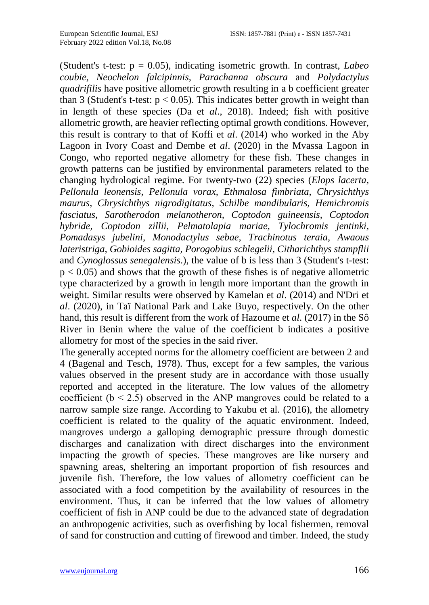(Student's t-test: p = 0.05), indicating isometric growth. In contrast, *Labeo coubie*, *Neochelon falcipinnis*, *Parachanna obscura* and *Polydactylus quadrifilis* have positive allometric growth resulting in a b coefficient greater than 3 (Student's t-test:  $p < 0.05$ ). This indicates better growth in weight than in length of these species (Da et *al*., 2018). Indeed; fish with positive allometric growth, are heavier reflecting optimal growth conditions. However, this result is contrary to that of Koffi et *al*. (2014) who worked in the Aby Lagoon in Ivory Coast and Dembe et *al*. (2020) in the Mvassa Lagoon in Congo, who reported negative allometry for these fish. These changes in growth patterns can be justified by environmental parameters related to the changing hydrological regime. For twenty-two (22) species (*Elops lacerta, Pellonula leonensis, Pellonula vorax, Ethmalosa fimbriata, Chrysichthys maurus, Chrysichthys nigrodigitatus, Schilbe mandibularis, Hemichromis fasciatus, Sarotherodon melanotheron, Coptodon guineensis, Coptodon hybride, Coptodon zillii, Pelmatolapia mariae, Tylochromis jentinki, Pomadasys jubelini, Monodactylus sebae, Trachinotus teraia, Awaous lateristriga, Gobioides sagitta, Porogobius schlegelii, Citharichthys stampflii*  and *Cynoglossus senegalensis*.), the value of b is less than 3 (Student's t-test:  $p < 0.05$ ) and shows that the growth of these fishes is of negative allometric type characterized by a growth in length more important than the growth in weight. Similar results were observed by Kamelan et *al*. (2014) and N'Dri et *al*. (2020), in Taï National Park and Lake Buyo, respectively. On the other hand, this result is different from the work of Hazoume et *al*. (2017) in the Sô River in Benin where the value of the coefficient b indicates a positive allometry for most of the species in the said river.

The generally accepted norms for the allometry coefficient are between 2 and 4 (Bagenal and Tesch, 1978). Thus, except for a few samples, the various values observed in the present study are in accordance with those usually reported and accepted in the literature. The low values of the allometry coefficient ( $b < 2.5$ ) observed in the ANP mangroves could be related to a narrow sample size range. According to Yakubu et al. (2016), the allometry coefficient is related to the quality of the aquatic environment. Indeed, mangroves undergo a galloping demographic pressure through domestic discharges and canalization with direct discharges into the environment impacting the growth of species. These mangroves are like nursery and spawning areas, sheltering an important proportion of fish resources and juvenile fish. Therefore, the low values of allometry coefficient can be associated with a food competition by the availability of resources in the environment. Thus, it can be inferred that the low values of allometry coefficient of fish in ANP could be due to the advanced state of degradation an anthropogenic activities, such as overfishing by local fishermen, removal of sand for construction and cutting of firewood and timber. Indeed, the study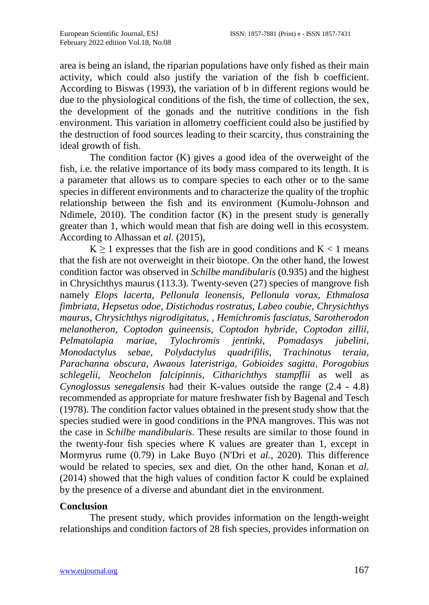area is being an island, the riparian populations have only fished as their main activity, which could also justify the variation of the fish b coefficient. According to Biswas (1993), the variation of b in different regions would be due to the physiological conditions of the fish, the time of collection, the sex, the development of the gonads and the nutritive conditions in the fish environment. This variation in allometry coefficient could also be justified by the destruction of food sources leading to their scarcity, thus constraining the ideal growth of fish.

The condition factor (K) gives a good idea of the overweight of the fish, i.e. the relative importance of its body mass compared to its length. It is a parameter that allows us to compare species to each other or to the same species in different environments and to characterize the quality of the trophic relationship between the fish and its environment (Kumolu-Johnson and Ndimele,  $2010$ ). The condition factor (K) in the present study is generally greater than 1, which would mean that fish are doing well in this ecosystem. According to Alhassan et *al*. (2015),

 $K \ge 1$  expresses that the fish are in good conditions and  $K < 1$  means that the fish are not overweight in their biotope. On the other hand, the lowest condition factor was observed in *Schilbe mandibularis* (0.935) and the highest in Chrysichthys maurus (113.3). Twenty-seven (27) species of mangrove fish namely *Elops lacerta, Pellonula leonensis, Pellonula vorax, Ethmalosa fimbriata, Hepsetus odoe, Distichodus rostratus, Labeo coubie, Chrysichthys maurus, Chrysichthys nigrodigitatus, , Hemichromis fasciatus, Sarotherodon melanotheron, Coptodon guineensis, Coptodon hybride, Coptodon zillii, Pelmatolapia mariae, Tylochromis jentinki, Pomadasys jubelini, Monodactylus sebae, Polydactylus quadrifilis, Trachinotus teraia, Parachanna obscura, Awaous lateristriga, Gobioides sagitta, Porogobius schlegelii, Neochelon falcipinnis, Citharichthys stampflii* as well as *Cynoglossus senegalensis* had their K-values outside the range (2.4 - 4.8) recommended as appropriate for mature freshwater fish by Bagenal and Tesch (1978). The condition factor values obtained in the present study show that the species studied were in good conditions in the PNA mangroves. This was not the case in *Schilbe mandibularis*. These results are similar to those found in the twenty-four fish species where K values are greater than 1, except in Mormyrus rume (0.79) in Lake Buyo (N'Dri et *al.*, 2020). This difference would be related to species, sex and diet. On the other hand, Konan et *al*. (2014) showed that the high values of condition factor K could be explained by the presence of a diverse and abundant diet in the environment.

#### **Conclusion**

The present study, which provides information on the length-weight relationships and condition factors of 28 fish species, provides information on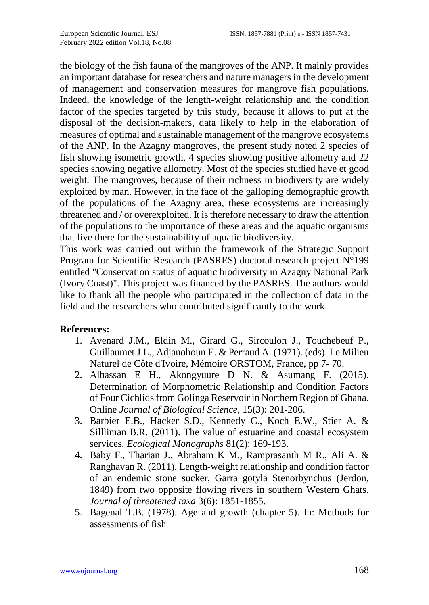the biology of the fish fauna of the mangroves of the ANP. It mainly provides an important database for researchers and nature managers in the development of management and conservation measures for mangrove fish populations. Indeed, the knowledge of the length-weight relationship and the condition factor of the species targeted by this study, because it allows to put at the disposal of the decision-makers, data likely to help in the elaboration of measures of optimal and sustainable management of the mangrove ecosystems of the ANP. In the Azagny mangroves, the present study noted 2 species of fish showing isometric growth, 4 species showing positive allometry and 22 species showing negative allometry. Most of the species studied have et good weight. The mangroves, because of their richness in biodiversity are widely exploited by man. However, in the face of the galloping demographic growth of the populations of the Azagny area, these ecosystems are increasingly threatened and / or overexploited. It is therefore necessary to draw the attention of the populations to the importance of these areas and the aquatic organisms that live there for the sustainability of aquatic biodiversity.

This work was carried out within the framework of the Strategic Support Program for Scientific Research (PASRES) doctoral research project N°199 entitled "Conservation status of aquatic biodiversity in Azagny National Park (Ivory Coast)". This project was financed by the PASRES. The authors would like to thank all the people who participated in the collection of data in the field and the researchers who contributed significantly to the work.

#### **References:**

- 1. Avenard J.M., Eldin M., Girard G., Sircoulon J., Touchebeuf P., Guillaumet J.L., Adjanohoun E. & Perraud A. (1971). (eds). Le Milieu Naturel de Côte d'Ivoire, Mémoire ORSTOM, France, pp 7- 70.
- 2. Alhassan E H., Akongyuure D N. & Asumang F. (2015). Determination of Morphometric Relationship and Condition Factors of Four Cichlids from Golinga Reservoir in Northern Region of Ghana. Online *Journal of Biological Science*, 15(3): 201-206.
- 3. Barbier E.B., Hacker S.D., Kennedy C., Koch E.W., Stier A. & Sillliman B.R. (2011). The value of estuarine and coastal ecosystem services. *Ecological Monographs* 81(2): 169-193.
- 4. Baby F., Tharian J., Abraham K M., Ramprasanth M R., Ali A. & Ranghavan R. (2011). Length-weight relationship and condition factor of an endemic stone sucker, Garra gotyla Stenorbynchus (Jerdon, 1849) from two opposite flowing rivers in southern Western Ghats. *Journal of threatened taxa* 3(6): 1851-1855.
- 5. Bagenal T.B. (1978). Age and growth (chapter 5). In: Methods for assessments of fish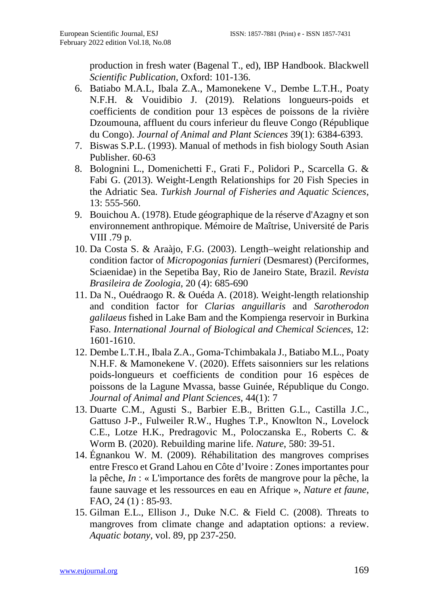production in fresh water (Bagenal T., ed), IBP Handbook. Blackwell *Scientific Publication*, Oxford: 101-136.

- 6. Batiabo M.A.L, Ibala Z.A., Mamonekene V., Dembe L.T.H., Poaty N.F.H. & Vouidibio J. (2019). Relations longueurs-poids et coefficients de condition pour 13 espèces de poissons de la rivière Dzoumouna, affluent du cours inferieur du fleuve Congo (République du Congo). *Journal of Animal and Plant Sciences* 39(1): 6384-6393.
- 7. Biswas S.P.L. (1993). Manual of methods in fish biology South Asian Publisher. 60-63
- 8. Bolognini L., Domenichetti F., Grati F., Polidori P., Scarcella G. & Fabi G. (2013). Weight-Length Relationships for 20 Fish Species in the Adriatic Sea. *Turkish Journal of Fisheries and Aquatic Sciences*, 13: 555-560.
- 9. Bouichou A. (1978). Etude géographique de la réserve d'Azagny et son environnement anthropique. Mémoire de Maîtrise, Université de Paris VIII .79 p.
- 10. Da Costa S. & Araàjo, F.G. (2003). Length–weight relationship and condition factor of *Micropogonias furnieri* (Desmarest) (Perciformes, Sciaenidae) in the Sepetiba Bay, Rio de Janeiro State, Brazil. *Revista Brasileira de Zoologia*, 20 (4): 685-690
- 11. Da N., Ouédraogo R. & Ouéda A. (2018). Weight-length relationship and condition factor for *Clarias anguillaris* and *Sarotherodon galilaeus* fished in Lake Bam and the Kompienga reservoir in Burkina Faso. *International Journal of Biological and Chemical Sciences*, 12: 1601-1610.
- 12. Dembe L.T.H., Ibala Z.A., Goma-Tchimbakala J., Batiabo M.L., Poaty N.H.F. & Mamonekene V. (2020). Effets saisonniers sur les relations poids-longueurs et coefficients de condition pour 16 espèces de poissons de la Lagune Mvassa, basse Guinée, République du Congo. *Journal of Animal and Plant Sciences,* 44(1): 7
- 13. Duarte C.M., Agusti S., Barbier E.B., Britten G.L., Castilla J.C., Gattuso J-P., Fulweiler R.W., Hughes T.P., Knowlton N., Lovelock C.E., Lotze H.K., Predragovic M., Poloczanska E., Roberts C. & Worm B. (2020). Rebuilding marine life. *Nature*, 580: 39-51.
- 14. Égnankou W. M. (2009). Réhabilitation des mangroves comprises entre Fresco et Grand Lahou en Côte d'Ivoire : Zones importantes pour la pêche, *In* : « L'importance des forêts de mangrove pour la pêche, la faune sauvage et les ressources en eau en Afrique », *Nature et faune*, FAO, 24 (1): 85-93.
- 15. Gilman E.L., Ellison J., Duke N.C. & Field C. (2008). Threats to mangroves from climate change and adaptation options: a review. *Aquatic botany*, vol. 89, pp 237-250.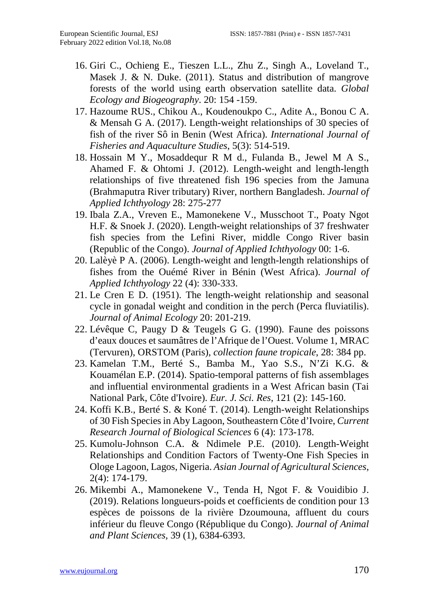- 16. Giri C., Ochieng E., Tieszen L.L., Zhu Z., Singh A., Loveland T., Masek J. & N. Duke. (2011). Status and distribution of mangrove forests of the world using earth observation satellite data. *Global Ecology and Biogeography*. 20: 154 -159.
- 17. Hazoume RUS., Chikou A., Koudenoukpo C., Adite A., Bonou C A. & Mensah G A. (2017). Length-weight relationships of 30 species of fish of the river Sô in Benin (West Africa). *International Journal of Fisheries and Aquaculture Studies*, 5(3): 514-519.
- 18. Hossain M Y., Mosaddequr R M d., Fulanda B., Jewel M A S., Ahamed F. & Ohtomi J. (2012). Length-weight and length-length relationships of five threatened fish 196 species from the Jamuna (Brahmaputra River tributary) River, northern Bangladesh. *Journal of Applied Ichthyology* 28: 275-277
- 19. Ibala Z.A., Vreven E., Mamonekene V., Musschoot T., Poaty Ngot H.F. & Snoek J. (2020). Length-weight relationships of 37 freshwater fish species from the Lefini River, middle Congo River basin (Republic of the Congo). *Journal of Applied Ichthyology* 00: 1-6.
- 20. Lalèyè P A. (2006). Length-weight and length-length relationships of fishes from the Ouémé River in Bénin (West Africa). *Journal of Applied Ichthyology* 22 (4): 330-333.
- 21. Le Cren E D. (1951). The length-weight relationship and seasonal cycle in gonadal weight and condition in the perch (Perca fluviatilis). *Journal of Animal Ecology* 20: 201-219.
- 22. Lévêque C, Paugy D & Teugels G G. (1990). Faune des poissons d'eaux douces et saumâtres de l'Afrique de l'Ouest. Volume 1, MRAC (Tervuren), ORSTOM (Paris), *collection faune tropicale*, 28: 384 pp.
- 23. Kamelan T.M., Berté S., Bamba M., Yao S.S., N'Zi K.G. & Kouamélan E.P. (2014). Spatio-temporal patterns of fish assemblages and influential environmental gradients in a West African basin (Tai National Park, Côte d'Ivoire). *Eur. J. Sci. Res*, 121 (2): 145-160.
- 24. Koffi K.B., Berté S. & Koné T. (2014). Length-weight Relationships of 30 Fish Species in Aby Lagoon, Southeastern Côte d'Ivoire, *Current Research Journal of Biological Sciences* 6 (4): 173-178.
- 25. Kumolu-Johnson C.A. & Ndimele P.E. (2010). Length-Weight Relationships and Condition Factors of Twenty-One Fish Species in Ologe Lagoon, Lagos, Nigeria. *Asian Journal of Agricultural Sciences*, 2(4): 174-179.
- 26. Mikembi A., Mamonekene V., Tenda H, Ngot F. & Vouidibio J. (2019). Relations longueurs-poids et coefficients de condition pour 13 espèces de poissons de la rivière Dzoumouna, affluent du cours inférieur du fleuve Congo (République du Congo). *Journal of Animal and Plant Sciences,* 39 (1), 6384-6393.